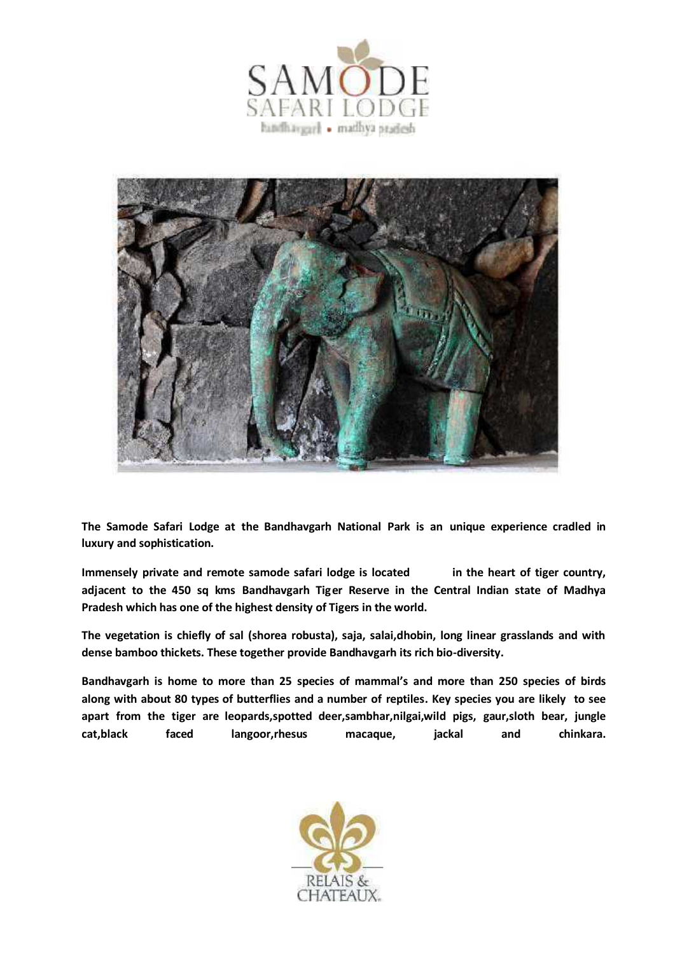



**The Samode Safari Lodge at the Bandhavgarh National Park is an unique experience cradled in luxury and sophistication.**

**Immensely private and remote samode safari lodge is located in the heart of tiger country, adjacent to the 450 sq kms Bandhavgarh Tiger Reserve in the Central Indian state of Madhya Pradesh** which has one of the highest density of Tigers in the world.

**The vegetation is chiefly ofsal (shorea robusta), saja, salai,dhobin, long linear grasslands and with dense bamboo thickets. These together provide Bandhavgarh its rich bio-diversity.**

**Bandhavgarh is home to more than 25 species of mammal's and more than 250 species of birds** along with about 80 types of butterflies and a number of reptiles. Key species you are likely to see **apart from the tiger are leopards,spotted deer,sambhar,nilgai,wild pigs, gaur,sloth bear, jungle cat,black faced langoor,rhesus macaque, jackal and chinkara.**

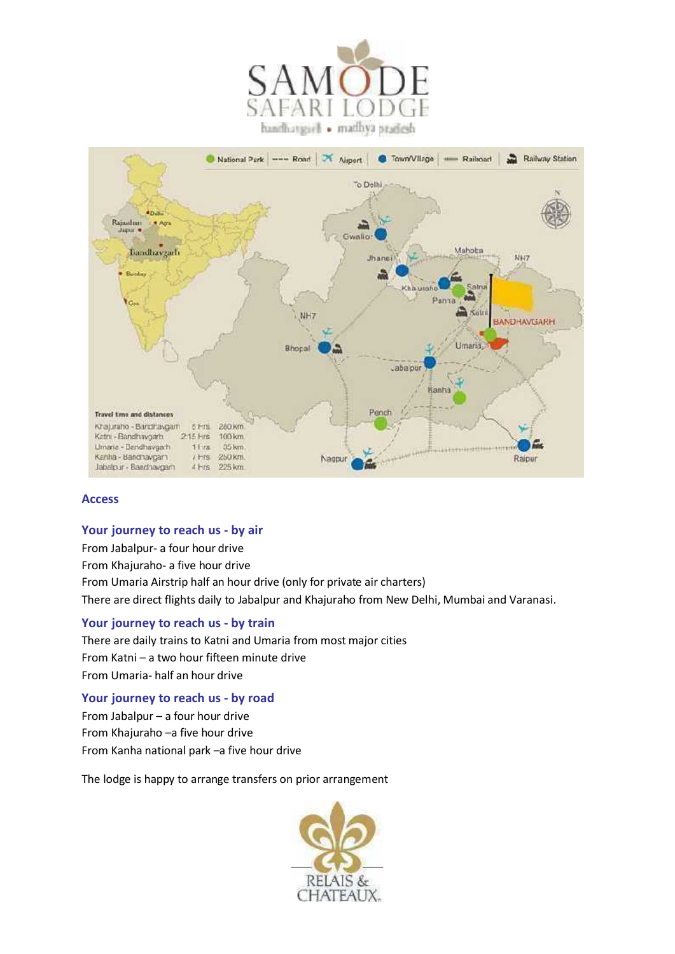



#### **Access**

# **Your journey to reach us -by air**

From Jabalpur- a four hour drive From Khajuraho- a five hour drive From Umaria Airstrip half an hour drive (only for private air charters) There are direct flights daily to Jabalpur and Khajuraho from New Delhi, Mumbai and Varanasi.

#### **Your journey to reach us -by train**

There are daily trains to Katni and Umaria from most major cities From Katni – a two hour fifteen minute drive From Umaria- half an hour drive

#### **Your journey to reach us -by road**

From Jabalpur – a four hour drive From Khajuraho –a five hour drive From Kanha national park –a five hour drive

The lodge is happy to arrange transfers on prior arrangement

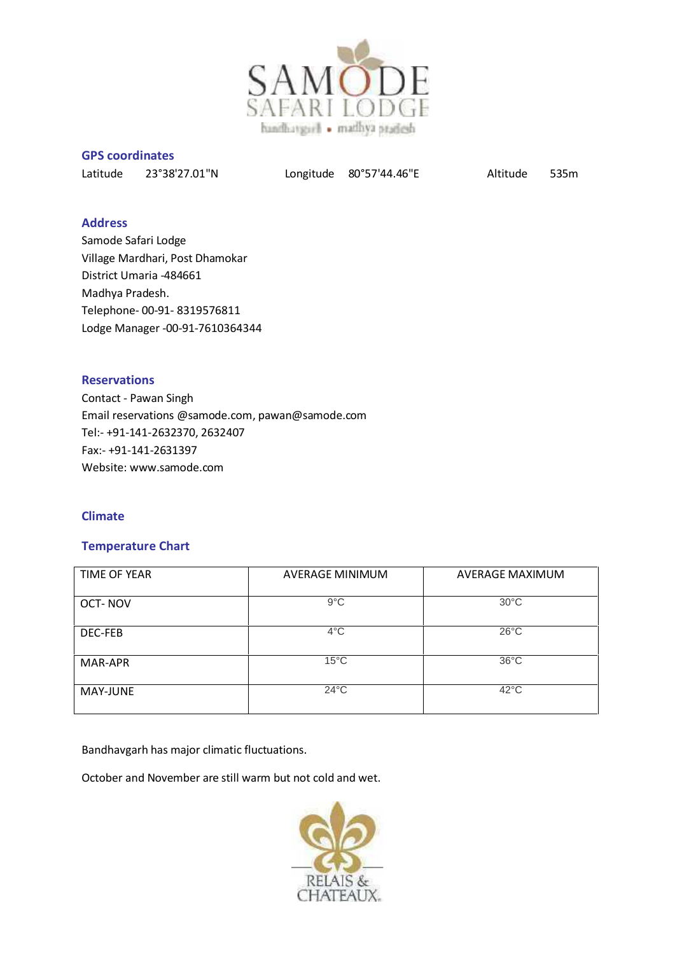

**GPS coordinates** Latitude 23°38'27.01"N Longitude 80°57'44.46"E Altitude 535m

## **Address**

Samode Safari Lodge Village Mardhari, Post Dhamokar District Umaria -484661 Madhya Pradesh. Telephone- 00-91- 8319576811 Lodge Manager -00-91-7610364344

## **Reservations**

Contact - Pawan Singh Email reservations @samode.com, pawan@samode.com Tel:- +91-141-2632370, 2632407 Fax:- +91-141-2631397 Website: www.samode.com

### **Climate**

## **Temperature Chart**

| TIME OF YEAR | <b>AVERAGE MINIMUM</b> | AVERAGE MAXIMUM |
|--------------|------------------------|-----------------|
| OCT-NOV      | $9^{\circ}$ C          | $30^{\circ}$ C  |
| DEC-FEB      | $4^{\circ}$ C          | $26^{\circ}$ C  |
| MAR-APR      | $15^{\circ}$ C         | $36^{\circ}$ C  |
| MAY-JUNE     | $24^{\circ}$ C         | $42^{\circ}$ C  |

Bandhavgarh has major climatic fluctuations.

October and November are still warm but not cold and wet.

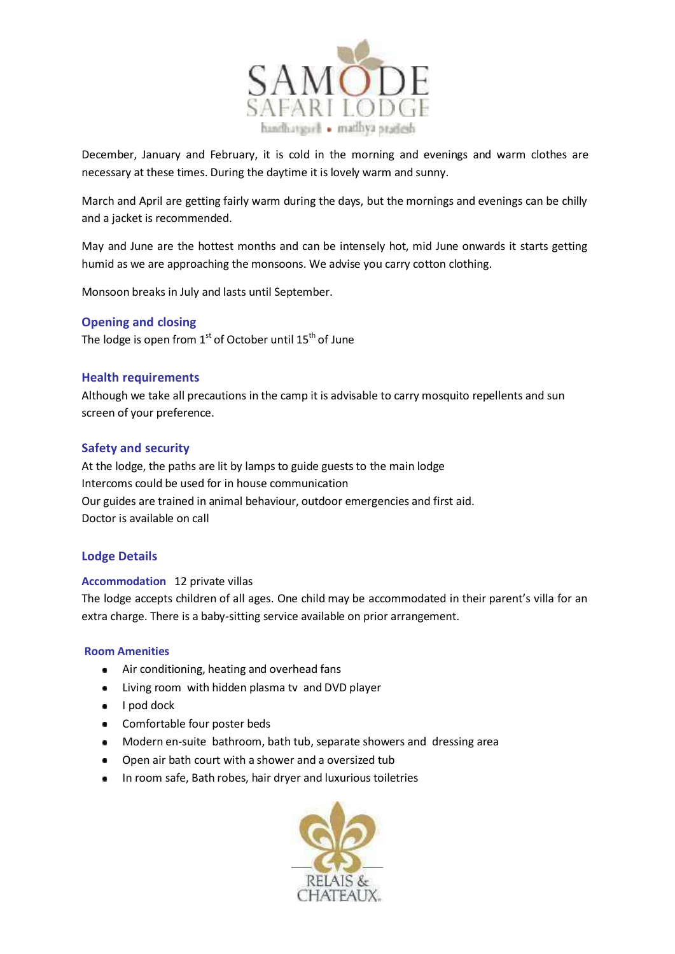

December, January and February, it is cold in the morning and evenings and warm clothes are necessary at these times. During the daytime it is lovely warm and sunny.

March and April are getting fairly warm during the days, but the mornings and evenings can be chilly and a jacket is recommended.

May and June are the hottest months and can be intensely hot, mid June onwards it starts getting humid as we are approaching the monsoons. We advise you carry cotton clothing.

Monsoon breaks in July and lasts until September.

## **Opening and closing**

The lodge is open from  $1^{\text{st}}$  of October until 15<sup>th</sup> of June

## **Health requirements**

Although we take all precautions in the camp it is advisable to carry mosquito repellents and sun screen of your preference.

## **Safety and security**

At the lodge, the paths are lit by lamps to guide guests to the main lodge Intercoms could be used for in house communication Our guides are trained in animal behaviour, outdoor emergencies and first aid. Doctor is available on call

#### **Lodge Details**

#### **Accommodation** 12 private villas

The lodge accepts children of all ages. One child may be accommodated in their parent's villa for an extra charge. There is a baby-sitting service available on prior arrangement.

#### **Room Amenities**

- Air conditioning, heating and overhead fans
- Living room with hidden plasma tv and DVD player
- **I** pod dock
- **Comfortable four poster beds**
- Modern en-suite bathroom, bath tub, separate showers and dressing area  $\bullet$
- Open air bath court with a shower and a oversized tub
- In room safe, Bath robes, hair dryer and luxurious toiletries

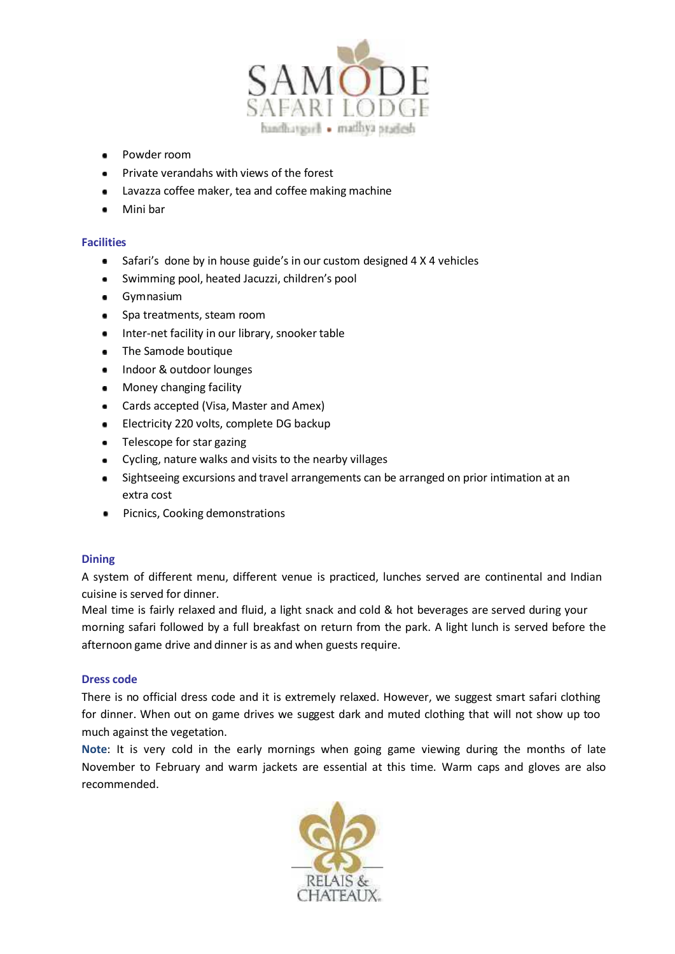

- Powder room  $\bullet$
- Private verandahs with views of the forest
- Lavazza coffee maker, tea and coffee making machine
- Mini bar ä.

## **Facilities**

- Safari's done by in house guide's in our custom designed 4 X 4 vehicles  $\bullet$
- $\bullet$ Swimming pool, heated Jacuzzi, children's pool
- **Gymnasium**
- Spa treatments, steam room  $\bullet$
- Inter-net facility in our library, snooker table  $\bullet$
- The Samode boutique  $\bullet$
- Indoor & outdoor lounges  $\bullet$
- Money changing facility  $\bullet$
- Cards accepted (Visa, Master and Amex)  $\bullet$
- Electricity 220 volts, complete DG backup  $\bullet$
- $\bullet$ Telescope for star gazing
- Cycling, nature walks and visits to the nearby villages  $\bullet$
- Sightseeing excursions and travel arrangements can be arranged on prior intimation at an extra cost
- **•** Picnics, Cooking demonstrations

## **Dining**

A system of different menu, different venue is practiced, lunches served are continental and Indian cuisine is served for dinner.

Meal time is fairly relaxed and fluid, a light snack and cold & hot beverages are served during your morning safari followed by a full breakfast on return from the park. A light lunch is served before the afternoon game drive and dinner is as and when guests require.

## **Dress code**

There is no official dress code and it is extremely relaxed. However, we suggest smart safari clothing for dinner. When out on game drives we suggest dark and muted clothing that will not show up too much against the vegetation.

**Note**: It is very cold in the early mornings when going game viewing during the months of late November to February and warm jackets are essential at this time. Warm caps and gloves are also recommended.